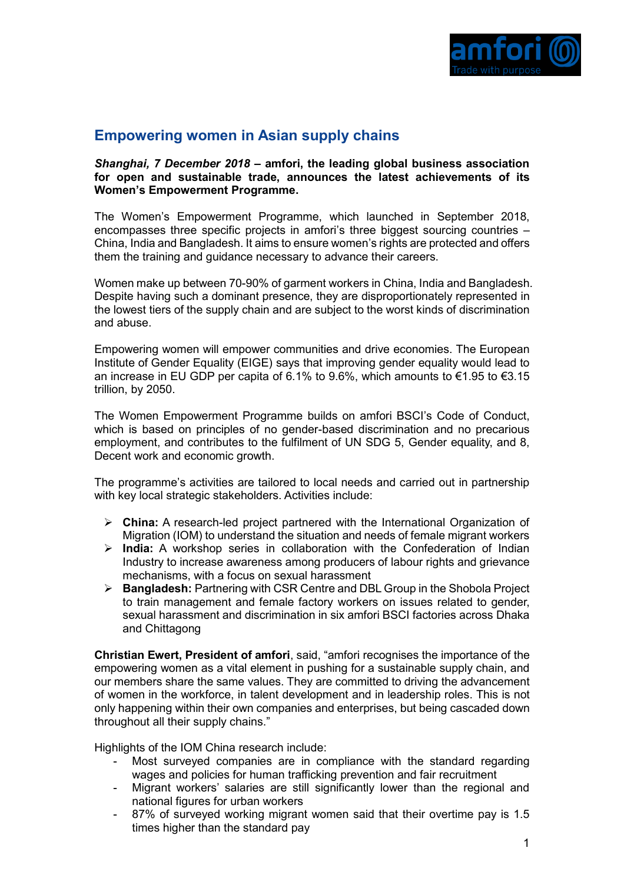

## **Empowering women in Asian supply chains**

## *Shanghai, 7 December 2018* **– amfori, the leading global business association for open and sustainable trade, announces the latest achievements of its Women's Empowerment Programme.**

The Women's Empowerment Programme, which launched in September 2018, encompasses three specific projects in amfori's three biggest sourcing countries – China, India and Bangladesh. It aims to ensure women's rights are protected and offers them the training and guidance necessary to advance their careers.

Women make up between 70-90% of garment workers in China, India and Bangladesh. Despite having such a dominant presence, they are disproportionately represented in the lowest tiers of the supply chain and are subject to the worst kinds of discrimination and abuse.

Empowering women will empower communities and drive economies. The European Institute of Gender Equality (EIGE) says that improving gender equality would lead to an increase in EU GDP per capita of 6.1% to 9.6%, which amounts to €1.95 to €3.15 trillion, by 2050.

The Women Empowerment Programme builds on amfori BSCI's Code of Conduct, which is based on principles of no gender-based discrimination and no precarious employment, and contributes to the fulfilment of UN SDG 5, Gender equality, and 8, Decent work and economic growth.

The programme's activities are tailored to local needs and carried out in partnership with key local strategic stakeholders. Activities include:

- ➢ **China:** A research-led project partnered with the International Organization of Migration (IOM) to understand the situation and needs of female migrant workers
- ➢ **India:** A workshop series in collaboration with the Confederation of Indian Industry to increase awareness among producers of labour rights and grievance mechanisms, with a focus on sexual harassment
- ➢ **Bangladesh:** Partnering with CSR Centre and DBL Group in the Shobola Project to train management and female factory workers on issues related to gender, sexual harassment and discrimination in six amfori BSCI factories across Dhaka and Chittagong

**Christian Ewert, President of amfori**, said, "amfori recognises the importance of the empowering women as a vital element in pushing for a sustainable supply chain, and our members share the same values. They are committed to driving the advancement of women in the workforce, in talent development and in leadership roles. This is not only happening within their own companies and enterprises, but being cascaded down throughout all their supply chains."

Highlights of the IOM China research include:

- Most surveyed companies are in compliance with the standard regarding wages and policies for human trafficking prevention and fair recruitment
- Migrant workers' salaries are still significantly lower than the regional and national figures for urban workers
- 87% of surveyed working migrant women said that their overtime pay is 1.5 times higher than the standard pay